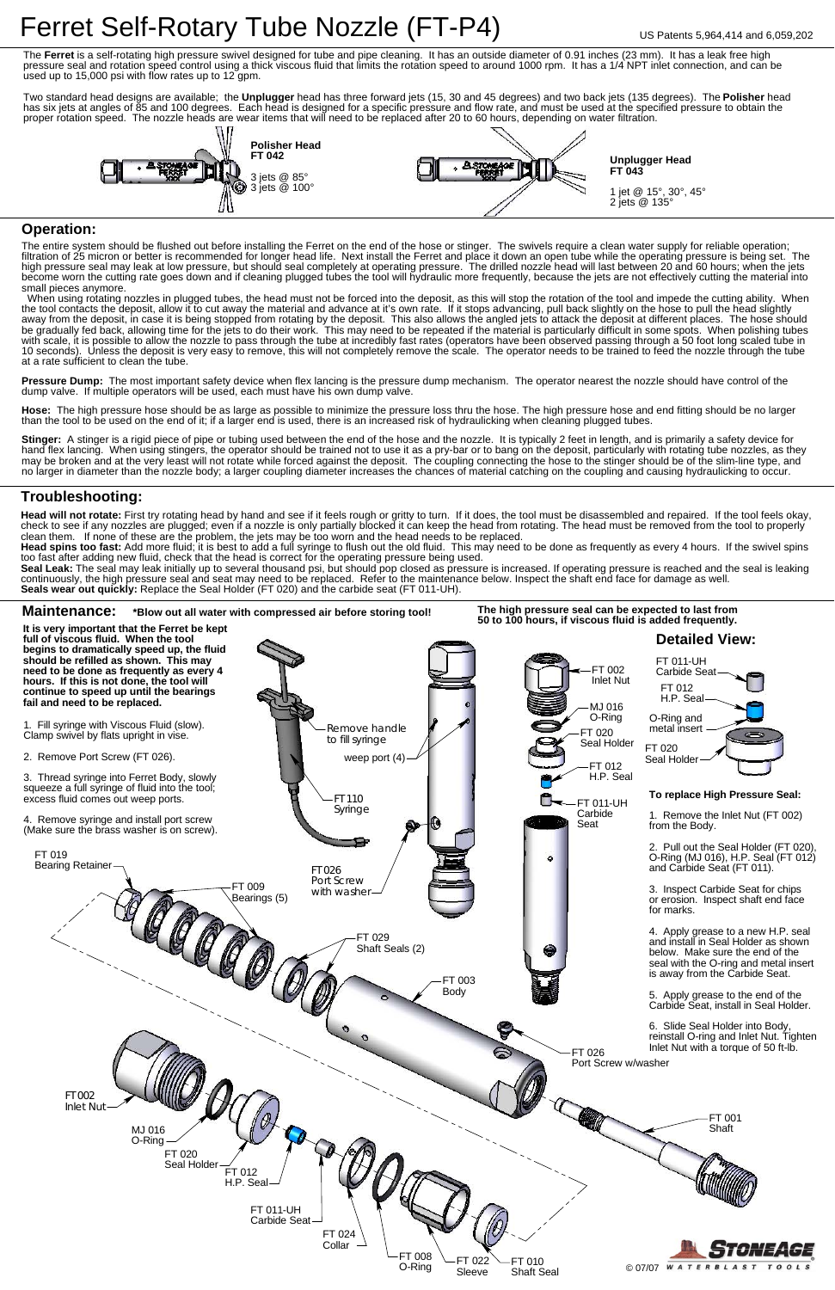



Stinger: A stinger is a rigid piece of pipe or tubing used between the end of the hose and the nozzle. It is typically 2 feet in length, and is primarily a safety device for hand flex lancing. When using stingers, the operator should be trained not to use it as a pry-bar or to bang on the deposit, particularly with rotating tube nozzles, as they may be broken and at the very least will not rotate while forced against the deposit. The coupling connecting the hose to the stinger should be of the slim-line type, and no larger in diameter than the nozzle body; a larger coupling diameter increases the chances of material catching on the coupling and causing hydraulicking to occur.

dump valve. If multiple operators will be used, each must have his own dump valve. Pressure Dump: The most important safety device when flex lancing is the pressure dump mechanism. The operator nearest the nozzle should have control of the

than the tool to be used on the end of it; if a larger end is used, there is an increased risk of hydraulicking when cleaning plugged tubes. **Hose:** The high pressure hose should be as large as possible to minimize the pressure loss thru the hose. The high pressure hose and end fitting should be no larger

Head will not rotate: First try rotating head by hand and see if it feels rough or gritty to turn. If it does, the tool must be disassembled and repaired. If the tool feels okay, check to see if any nozzles are plugged; even if a nozzle is only partially blocked it can keep the head from rotating. The head must be removed from the tool to properly clean them. If none of these are the problem, the jets may be too worn and the head needs to be replaced.

Head spins too fast: Add more fluid; it is best to add a full syringe to flush out the old fluid. This may need to be done as frequently as every 4 hours. If the swivel spins too fast after adding new fluid, check that the head is correct for the operating pressure being used.

#### **Operation:**

Seal Leak: The seal may leak initially up to several thousand psi, but should pop closed as pressure is increased. If operating pressure is reached and the seal is leaking continuously, the high pressure seal and seat may need to be replaced. Refer to the maintenance below. Inspect the shaft end face for damage as well. **Seals wear out quickly:** Replace the Seal Holder (FT 020) and the carbide seat (FT 011-UH).

The entire system should be flushed out before installing the Ferret on the end of the hose or stinger. The swivels require a clean water supply for reliable operation; filtration of 25 micron or better is recommended for longer head life. Next install the Ferret and place it down an open tube while the operating pressure is being set. The high pressure seal may leak at low pressure, but should seal completely at operating pressure. The drilled nozzle head will last between 20 and 60 hours; when the jets become worn the cutting rate goes down and if cleaning plugged tubes the tool will hydraulic more frequently, because the jets are not effectively cutting the material into small pieces anymore.

# Ferret Self-Rotary Tube Nozzle (FT-P4) US Patents 5,964,414 and 6,059,202

The **Ferret** is a self-rotating high pressure swivel designed for tube and pipe cleaning. It has an outside diameter of 0.91 inches (23 mm). It has a leak free high pressure seal and rotation speed control using a thick viscous fluid that limits the rotation speed to around 1000 rpm. It has a 1/4 NPT inlet connection, and can be used up to 15,000 psi with flow rates up to 12 gpm.

 When using rotating nozzles in plugged tubes, the head must not be forced into the deposit, as this will stop the rotation of the tool and impede the cutting ability. When the tool contacts the deposit, allow it to cut away the material and advance at it's own rate. If it stops advancing, pull back slightly on the hose to pull the head slightly away from the deposit, in case it is being stopped from rotating by the deposit. This also allows the angled jets to attack the deposit at different places. The hose should be gradually fed back, allowing time for the jets to do their work. This may need to be repeated if the material is particularly difficult in some spots. When polishing tubes with scale, it is possible to allow the nozzle to pass through the tube at incredibly fast rates (operators have been observed passing through a 50 foot long scaled tube in 10 seconds). Unless the deposit is very easy to remove, this will not completely remove the scale. The operator needs to be trained to feed the nozzle through the tube at a rate sufficient to clean the tube.

### **Troubleshooting:**

Two standard head designs are available; the **Unplugger** head has three forward jets (15, 30 and 45 degrees) and two back jets (135 degrees). The **Polisher** head has six jets at angles of 85 and 100 degrees. Each head is designed for a specific pressure and flow rate, and must be used at the specified pressure to obtain the proper rotation speed. The nozzle heads are wear items that will need to be replaced after 20 to 60 hours, depending on water filtration.